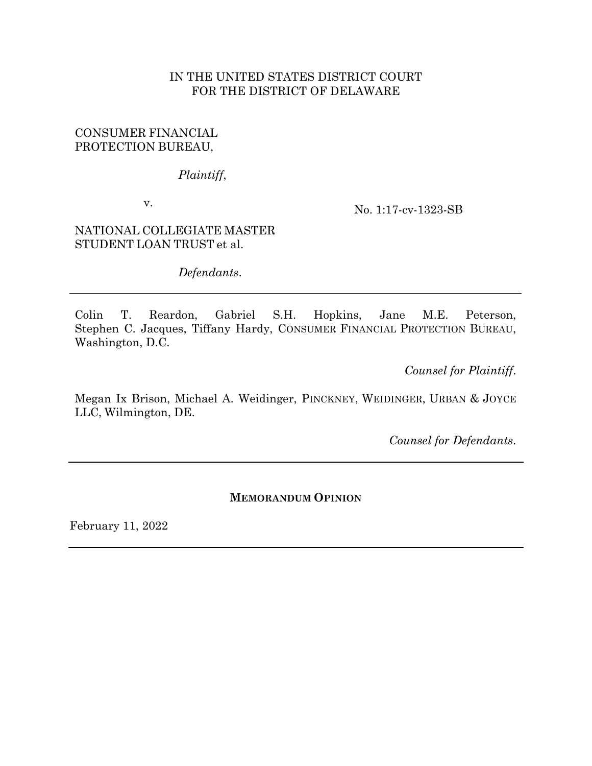## IN THE UNITED STATES DISTRICT COURT FOR THE DISTRICT OF DELAWARE

### CONSUMER FINANCIAL PROTECTION BUREAU,

*Plaintiff*,

v.

No. 1:17-cv-1323-SB

NATIONAL COLLEGIATE MASTER STUDENT LOAN TRUST et al.

*Defendants*.

Colin T. Reardon, Gabriel S.H. Hopkins, Jane M.E. Peterson, Stephen C. Jacques, Tiffany Hardy, CONSUMER FINANCIAL PROTECTION BUREAU, Washington, D.C.

*Counsel for Plaintiff*.

Megan Ix Brison, Michael A. Weidinger, PINCKNEY, WEIDINGER, URBAN & JOYCE LLC, Wilmington, DE.

*Counsel for Defendants*.

### **MEMORANDUM OPINION**

February 11, 2022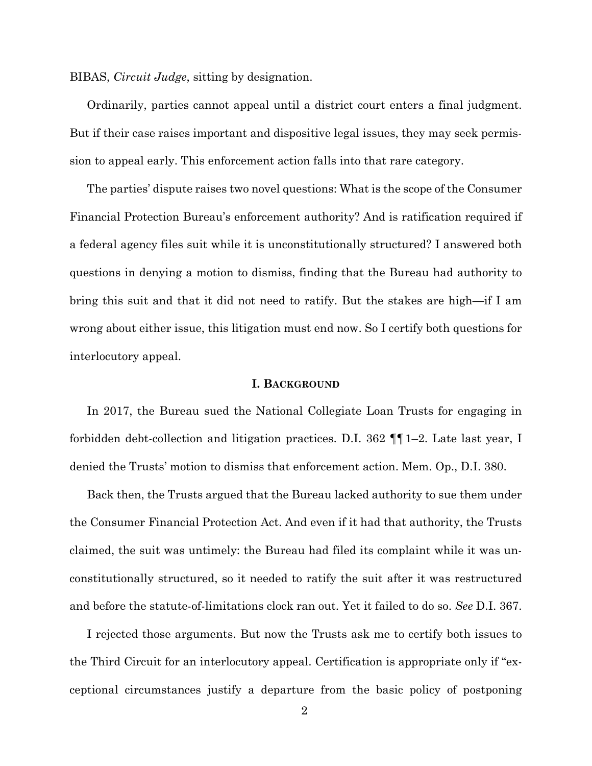BIBAS, *Circuit Judge*, sitting by designation.

Ordinarily, parties cannot appeal until a district court enters a final judgment. But if their case raises important and dispositive legal issues, they may seek permission to appeal early. This enforcement action falls into that rare category.

The parties' dispute raises two novel questions: What is the scope of the Consumer Financial Protection Bureau's enforcement authority? And is ratification required if a federal agency files suit while it is unconstitutionally structured? I answered both questions in denying a motion to dismiss, finding that the Bureau had authority to bring this suit and that it did not need to ratify. But the stakes are high—if I am wrong about either issue, this litigation must end now. So I certify both questions for interlocutory appeal.

### **I. BACKGROUND**

In 2017, the Bureau sued the National Collegiate Loan Trusts for engaging in forbidden debt-collection and litigation practices. D.I. 362 ¶¶1–2. Late last year, I denied the Trusts' motion to dismiss that enforcement action. Mem. Op., D.I. 380.

Back then, the Trusts argued that the Bureau lacked authority to sue them under the Consumer Financial Protection Act. And even if it had that authority, the Trusts claimed, the suit was untimely: the Bureau had filed its complaint while it was unconstitutionally structured, so it needed to ratify the suit after it was restructured and before the statute-of-limitations clock ran out. Yet it failed to do so. *See* D.I. 367.

I rejected those arguments. But now the Trusts ask me to certify both issues to the Third Circuit for an interlocutory appeal. Certification is appropriate only if "exceptional circumstances justify a departure from the basic policy of postponing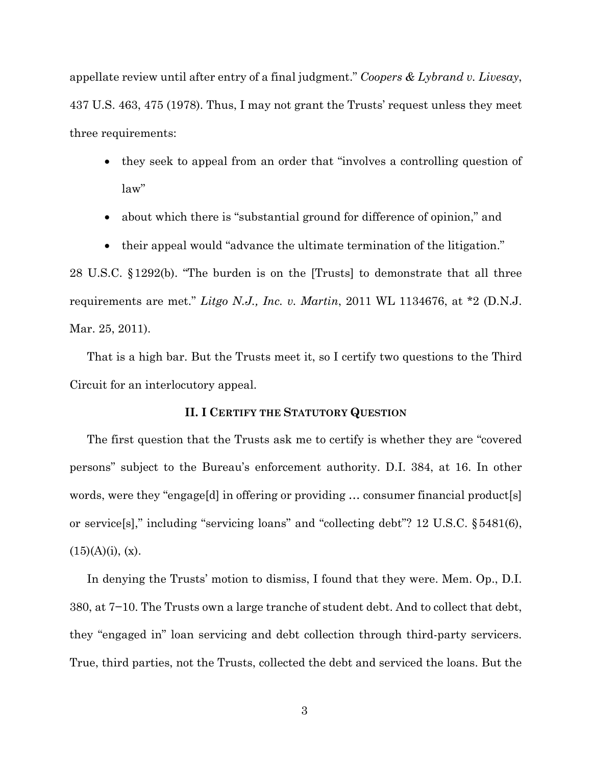appellate review until after entry of a final judgment." *Coopers & Lybrand v. Livesay*, 437 U.S. 463, 475 (1978). Thus, I may not grant the Trusts' request unless they meet three requirements:

- they seek to appeal from an order that "involves a controlling question of law"
- about which there is "substantial ground for difference of opinion," and
- their appeal would "advance the ultimate termination of the litigation."

28 U.S.C. §1292(b). "The burden is on the [Trusts] to demonstrate that all three requirements are met." *Litgo N.J., Inc. v. Martin*, 2011 WL 1134676, at \*2 (D.N.J. Mar. 25, 2011).

That is a high bar. But the Trusts meet it, so I certify two questions to the Third Circuit for an interlocutory appeal.

### **II. I CERTIFY THE STATUTORY QUESTION**

The first question that the Trusts ask me to certify is whether they are "covered persons" subject to the Bureau's enforcement authority. D.I. 384, at 16. In other words, were they "engage[d] in offering or providing … consumer financial product[s] or service[s]," including "servicing loans" and "collecting debt"? 12 U.S.C. §5481(6),  $(15)(A)(i)$ , (x).

In denying the Trusts' motion to dismiss, I found that they were. Mem. Op., D.I. 380, at 7−10. The Trusts own a large tranche of student debt. And to collect that debt, they "engaged in" loan servicing and debt collection through third-party servicers. True, third parties, not the Trusts, collected the debt and serviced the loans. But the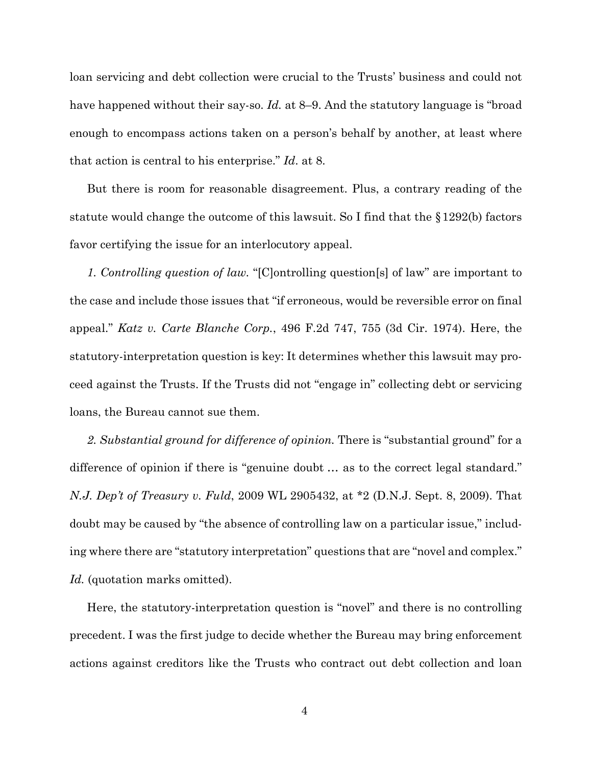loan servicing and debt collection were crucial to the Trusts' business and could not have happened without their say-so. *Id.* at 8–9. And the statutory language is "broad" enough to encompass actions taken on a person's behalf by another, at least where that action is central to his enterprise." *Id*. at 8.

But there is room for reasonable disagreement. Plus, a contrary reading of the statute would change the outcome of this lawsuit. So I find that the §1292(b) factors favor certifying the issue for an interlocutory appeal.

*1. Controlling question of law.* "[C]ontrolling question[s] of law" are important to the case and include those issues that "if erroneous, would be reversible error on final appeal." *Katz v. Carte Blanche Corp.*, 496 F.2d 747, 755 (3d Cir. 1974). Here, the statutory-interpretation question is key: It determines whether this lawsuit may proceed against the Trusts. If the Trusts did not "engage in" collecting debt or servicing loans, the Bureau cannot sue them.

2. Substantial ground for difference of opinion. There is "substantial ground" for a difference of opinion if there is "genuine doubt … as to the correct legal standard." *N.J. Dep't of Treasury v. Fuld*, 2009 WL 2905432, at \*2 (D.N.J. Sept. 8, 2009). That doubt may be caused by "the absence of controlling law on a particular issue," including where there are "statutory interpretation" questions that are "novel and complex." Id. (quotation marks omitted).

Here, the statutory-interpretation question is "novel" and there is no controlling precedent. I was the first judge to decide whether the Bureau may bring enforcement actions against creditors like the Trusts who contract out debt collection and loan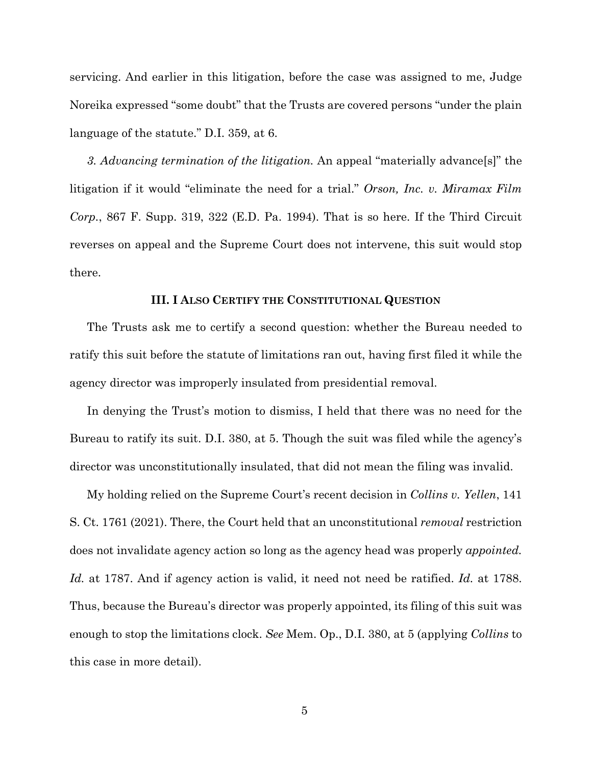servicing. And earlier in this litigation, before the case was assigned to me, Judge Noreika expressed "some doubt" that the Trusts are covered persons "under the plain language of the statute." D.I. 359, at 6.

*3. Advancing termination of the litigation.* An appeal "materially advance[s]" the litigation if it would "eliminate the need for a trial." *Orson, Inc. v. Miramax Film Corp.*, 867 F. Supp. 319, 322 (E.D. Pa. 1994). That is so here. If the Third Circuit reverses on appeal and the Supreme Court does not intervene, this suit would stop there.

#### **III. I ALSO CERTIFY THE CONSTITUTIONAL QUESTION**

The Trusts ask me to certify a second question: whether the Bureau needed to ratify this suit before the statute of limitations ran out, having first filed it while the agency director was improperly insulated from presidential removal.

In denying the Trust's motion to dismiss, I held that there was no need for the Bureau to ratify its suit. D.I. 380, at 5. Though the suit was filed while the agency's director was unconstitutionally insulated, that did not mean the filing was invalid.

My holding relied on the Supreme Court's recent decision in *Collins v. Yellen*, 141 S. Ct. 1761 (2021). There, the Court held that an unconstitutional *removal* restriction does not invalidate agency action so long as the agency head was properly *appointed. Id.* at 1787. And if agency action is valid, it need not need be ratified. *Id.* at 1788. Thus, because the Bureau's director was properly appointed, its filing of this suit was enough to stop the limitations clock. *See* Mem. Op., D.I. 380, at 5 (applying *Collins* to this case in more detail).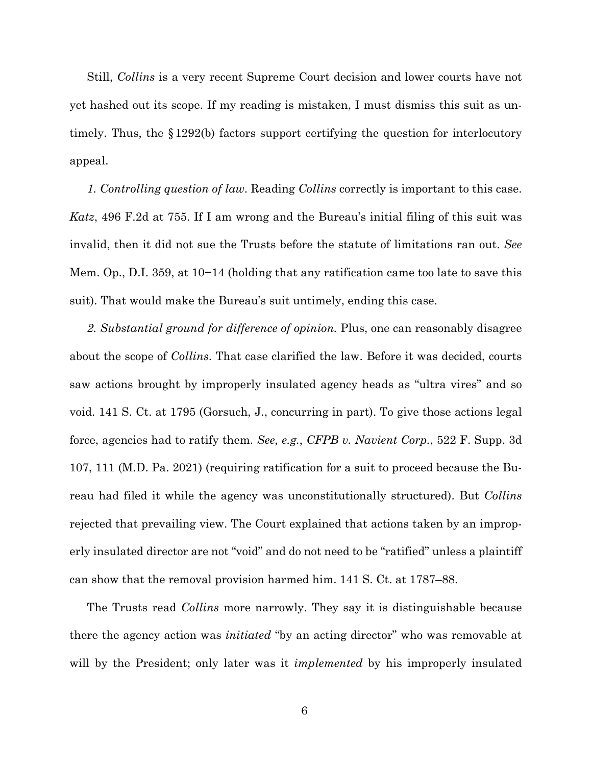Still, *Collins* is a very recent Supreme Court decision and lower courts have not yet hashed out its scope. If my reading is mistaken, I must dismiss this suit as untimely. Thus, the  $\S 1292(b)$  factors support certifying the question for interlocutory appeal.

*1. Controlling question of law*. Reading *Collins* correctly is important to this case. *Katz*, 496 F.2d at 755. If I am wrong and the Bureau's initial filing of this suit was invalid, then it did not sue the Trusts before the statute of limitations ran out. *See*  Mem. Op., D.I. 359, at 10−14 (holding that any ratification came too late to save this suit). That would make the Bureau's suit untimely, ending this case.

*2. Substantial ground for difference of opinion.* Plus, one can reasonably disagree about the scope of *Collins*. That case clarified the law. Before it was decided, courts saw actions brought by improperly insulated agency heads as "ultra vires" and so void. 141 S. Ct. at 1795 (Gorsuch, J., concurring in part). To give those actions legal force, agencies had to ratify them. *See, e.g.*, *CFPB v. Navient Corp.*, 522 F. Supp. 3d 107, 111 (M.D. Pa. 2021) (requiring ratification for a suit to proceed because the Bureau had filed it while the agency was unconstitutionally structured). But *Collins*  rejected that prevailing view. The Court explained that actions taken by an improperly insulated director are not "void" and do not need to be "ratified" unless a plaintiff can show that the removal provision harmed him. 141 S. Ct. at 1787–88.

The Trusts read *Collins* more narrowly. They say it is distinguishable because there the agency action was *initiated* "by an acting director" who was removable at will by the President; only later was it *implemented* by his improperly insulated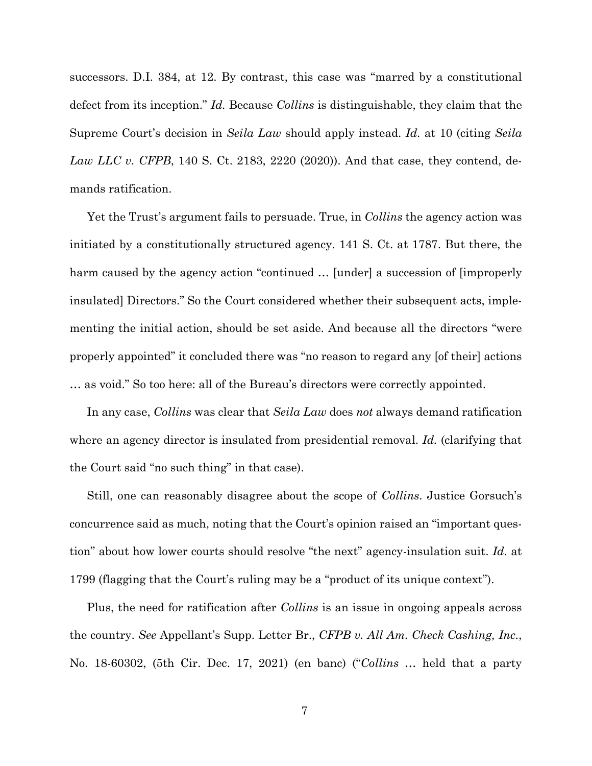successors. D.I. 384, at 12. By contrast, this case was "marred by a constitutional defect from its inception." *Id.* Because *Collins* is distinguishable, they claim that the Supreme Court's decision in *Seila Law* should apply instead. *Id.* at 10 (citing *Seila Law LLC v. CFPB*, 140 S. Ct. 2183, 2220 (2020)). And that case, they contend, demands ratification.

Yet the Trust's argument fails to persuade. True, in *Collins* the agency action was initiated by a constitutionally structured agency. 141 S. Ct. at 1787. But there, the harm caused by the agency action "continued … [under] a succession of [improperly insulated] Directors." So the Court considered whether their subsequent acts, implementing the initial action, should be set aside. And because all the directors "were properly appointed" it concluded there was "no reason to regard any [of their] actions … as void." So too here: all of the Bureau's directors were correctly appointed.

In any case, *Collins* was clear that *Seila Law* does *not* always demand ratification where an agency director is insulated from presidential removal. *Id.* (clarifying that the Court said "no such thing" in that case).

Still, one can reasonably disagree about the scope of *Collins*. Justice Gorsuch's concurrence said as much, noting that the Court's opinion raised an "important question" about how lower courts should resolve "the next" agency-insulation suit. *Id.* at 1799 (flagging that the Court's ruling may be a "product of its unique context").

Plus, the need for ratification after *Collins* is an issue in ongoing appeals across the country. *See* Appellant's Supp. Letter Br., *CFPB v. All Am. Check Cashing, Inc.*, No. 18-60302, (5th Cir. Dec. 17, 2021) (en banc) ("*Collins* … held that a party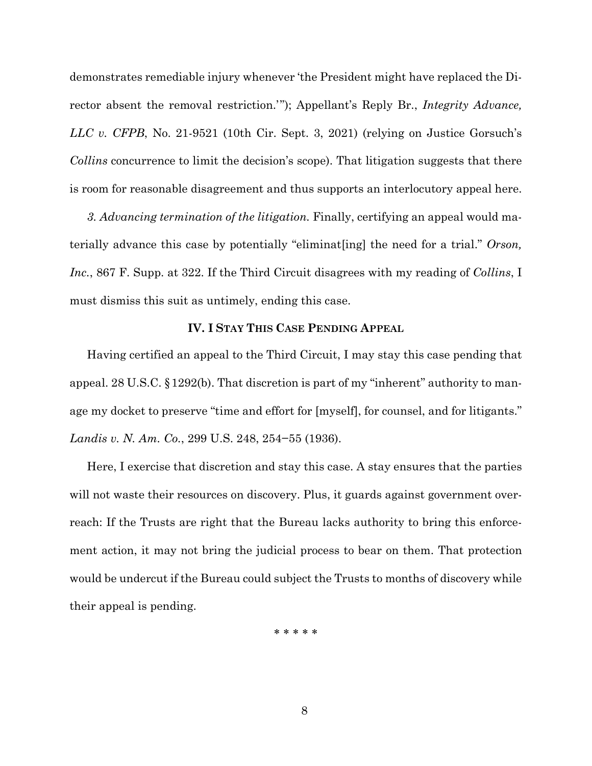demonstrates remediable injury whenever 'the President might have replaced the Director absent the removal restriction.'"); Appellant's Reply Br., *Integrity Advance, LLC v. CFPB*, No. 21-9521 (10th Cir. Sept. 3, 2021) (relying on Justice Gorsuch's *Collins* concurrence to limit the decision's scope). That litigation suggests that there is room for reasonable disagreement and thus supports an interlocutory appeal here.

*3. Advancing termination of the litigation.* Finally, certifying an appeal would materially advance this case by potentially "eliminat[ing] the need for a trial." *Orson, Inc.*, 867 F. Supp. at 322. If the Third Circuit disagrees with my reading of *Collins*, I must dismiss this suit as untimely, ending this case.

#### **IV. I STAY THIS CASE PENDING APPEAL**

Having certified an appeal to the Third Circuit, I may stay this case pending that appeal. 28 U.S.C. §1292(b). That discretion is part of my "inherent" authority to manage my docket to preserve "time and effort for [myself], for counsel, and for litigants." *Landis v. N. Am. Co.*, 299 U.S. 248, 254−55 (1936).

Here, I exercise that discretion and stay this case. A stay ensures that the parties will not waste their resources on discovery. Plus, it guards against government overreach: If the Trusts are right that the Bureau lacks authority to bring this enforcement action, it may not bring the judicial process to bear on them. That protection would be undercut if the Bureau could subject the Trusts to months of discovery while their appeal is pending.

\* \* \* \* \*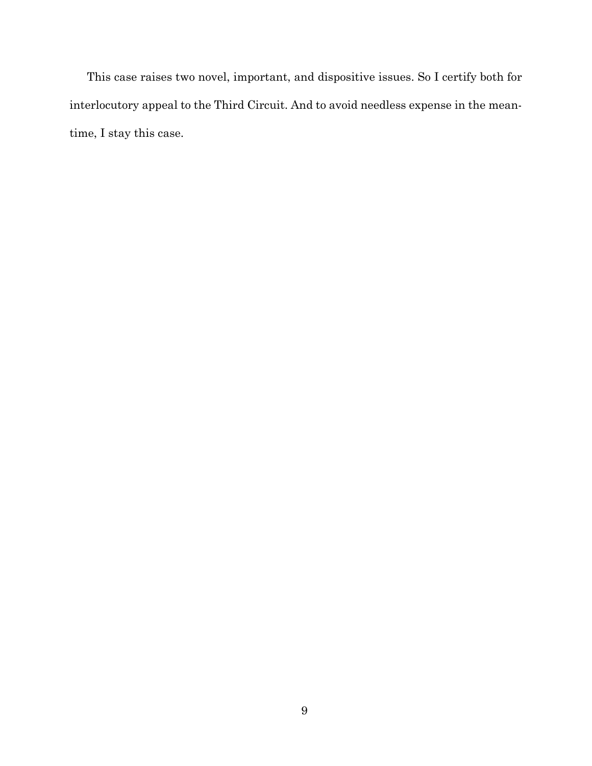This case raises two novel, important, and dispositive issues. So I certify both for interlocutory appeal to the Third Circuit. And to avoid needless expense in the meantime, I stay this case.